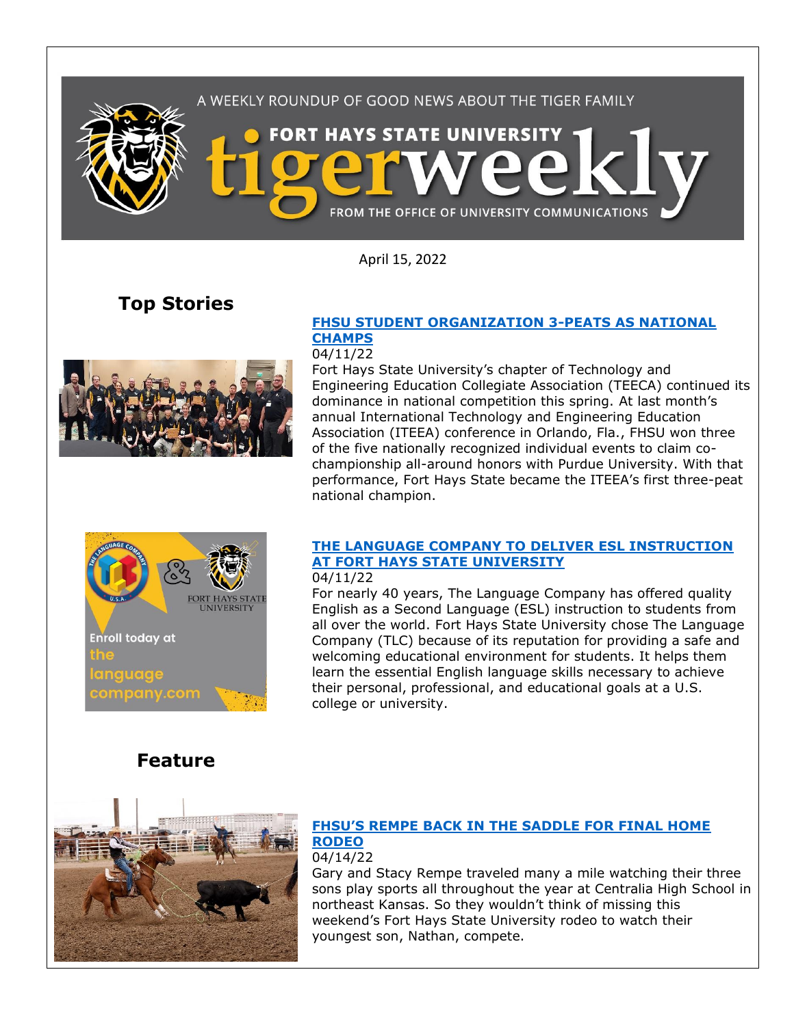

April 15, 2022

## **Top Stories**



### **[FHSU STUDENT ORGANIZATION 3-PEATS AS NATIONAL](https://www.fhsu.edu/news/2022/04/fhsu-student-organization-3-peats-as-national-champs)  [CHAMPS](https://www.fhsu.edu/news/2022/04/fhsu-student-organization-3-peats-as-national-champs)**

#### 04/11/22

Fort Hays State University's chapter of Technology and Engineering Education Collegiate Association (TEECA) continued its dominance in national competition this spring. At last month's annual International Technology and Engineering Education Association (ITEEA) conference in Orlando, Fla., FHSU won three of the five nationally recognized individual events to claim cochampionship all-around honors with Purdue University. With that performance, Fort Hays State became the ITEEA's first three-peat national champion.



## **[THE LANGUAGE COMPANY TO DELIVER ESL INSTRUCTION](https://www.fhsu.edu/news/2022/04/the-language-company-to-deliver-esl-instruction-at-fort-hays-state-university)  [AT FORT HAYS STATE UNIVERSITY](https://www.fhsu.edu/news/2022/04/the-language-company-to-deliver-esl-instruction-at-fort-hays-state-university)**

#### 04/11/22

For nearly 40 years, The Language Company has offered quality English as a Second Language (ESL) instruction to students from all over the world. Fort Hays State University chose The Language Company (TLC) because of its reputation for providing a safe and welcoming educational environment for students. It helps them learn the essential English language skills necessary to achieve their personal, professional, and educational goals at a U.S. college or university.



**Feature**

## **FHSU'S REM[PE BACK IN THE SADDLE FOR FINAL HOME](https://www.fhsu.edu/news/2022/04/fhsus-rempe-back-in-the-saddle-for-final-home-rodeo)  [RODEO](https://www.fhsu.edu/news/2022/04/fhsus-rempe-back-in-the-saddle-for-final-home-rodeo)**

04/14/22

Gary and Stacy Rempe traveled many a mile watching their three sons play sports all throughout the year at Centralia High School in northeast Kansas. So they wouldn't think of missing this weekend's Fort Hays State University rodeo to watch their youngest son, Nathan, compete.